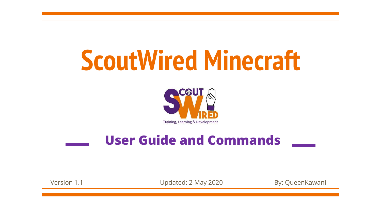# **ScoutWired Minecraft**



### **User Guide and Commands**

Version 1.1 **Version 1.1** Updated: 2 May 2020 By: QueenKawani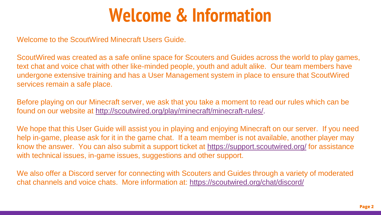### **Welcome & Information**

Welcome to the ScoutWired Minecraft Users Guide.

ScoutWired was created as a safe online space for Scouters and Guides across the world to play games, text chat and voice chat with other like-minded people, youth and adult alike. Our team members have undergone extensive training and has a User Management system in place to ensure that ScoutWired services remain a safe place.

Before playing on our Minecraft server, we ask that you take a moment to read our rules which can be found on our website at [http://scoutwired.org/play/minecraft/minecraft-rules/.](http://scoutwired.org/play/minecraft/minecraft-rules/)

We hope that this User Guide will assist you in playing and enjoying Minecraft on our server. If you need help in-game, please ask for it in the game chat. If a team member is not available, another player may know the answer. You can also submit a support ticket at <https://support.scoutwired.org/> for assistance with technical issues, in-game issues, suggestions and other support.

We also offer a Discord server for connecting with Scouters and Guides through a variety of moderated chat channels and voice chats. More information at:<https://scoutwired.org/chat/discord/>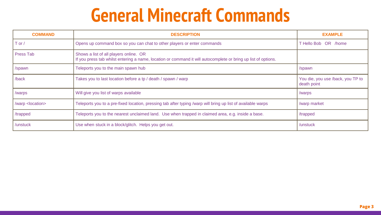## **General Minecraft Commands**

| <b>COMMAND</b>              | <b>DESCRIPTION</b>                                                                                                                                       | <b>EXAMPLE</b>                                   |
|-----------------------------|----------------------------------------------------------------------------------------------------------------------------------------------------------|--------------------------------------------------|
| $T$ or $/$                  | Opens up command box so you can chat to other players or enter commands                                                                                  | T Hello Bob OR /home                             |
| Press Tab                   | Shows a list of all players online. OR<br>If you press tab whilst entering a name, location or command it will autocomplete or bring up list of options. |                                                  |
| /spawn                      | Teleports you to the main spawn hub                                                                                                                      | /spawn                                           |
| /back                       | Takes you to last location before a tp / death / spawn / warp                                                                                            | You die, you use /back, you TP to<br>death point |
| /warps                      | Will give you list of warps available                                                                                                                    | /warps                                           |
| /warp <location></location> | Teleports you to a pre-fixed location, pressing tab after typing /warp will bring up list of available warps                                             | /warp market                                     |
| /trapped                    | Teleports you to the nearest unclaimed land. Use when trapped in claimed area, e.g. inside a base.                                                       | /trapped                                         |
| /unstuck                    | Use when stuck in a block/glitch. Helps you get out.                                                                                                     | /unstuck                                         |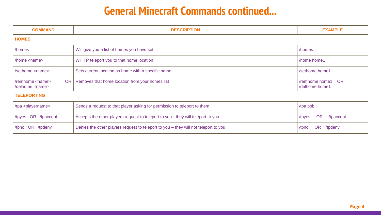### **General Minecraft Commands continued...**

| <b>COMMAND</b>                                                 | <b>DESCRIPTION</b>                                                                  | <b>EXAMPLE</b>                      |  |  |
|----------------------------------------------------------------|-------------------------------------------------------------------------------------|-------------------------------------|--|--|
| <b>HOMES</b>                                                   |                                                                                     |                                     |  |  |
| /homes                                                         | Will give you a list of homes you have set                                          | /homes                              |  |  |
| /home <name></name>                                            | Will TP teleport you to that home location                                          | /home home1                         |  |  |
| /sethome <name></name>                                         | Sets current location as home with a specific name                                  | /sethome home1                      |  |  |
| <b>OR</b><br>/remhome <name><br/>/delhome <name></name></name> | Removes that home location from your homes list                                     | /remhome home1 OR<br>/delhome home1 |  |  |
| <b>TELEPORTING</b>                                             |                                                                                     |                                     |  |  |
| /tpa <playername></playername>                                 | Sends a request to that player asking for permission to teleport to them            | /tpa bob                            |  |  |
| /tpyes OR /tpaccept                                            | Accepts the other players request to teleport to you - they will teleport to you    | <b>OR</b><br>/tpaccept<br>/tpyes    |  |  |
| OR /tpdeny<br>/tpno                                            | Denies the other players request to teleport to you – they will not teleport to you | <b>OR</b><br>/tpdeny<br>/tpno       |  |  |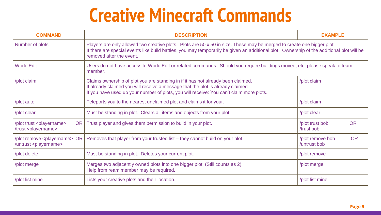## **Creative Minecraft Commands**

| <b>COMMAND</b>                                                             | <b>DESCRIPTION</b>                                                                                                                                                                                                                                                                              | <b>EXAMPLE</b>                                |
|----------------------------------------------------------------------------|-------------------------------------------------------------------------------------------------------------------------------------------------------------------------------------------------------------------------------------------------------------------------------------------------|-----------------------------------------------|
| Number of plots                                                            | Players are only allowed two creative plots. Plots are 50 x 50 in size. These may be merged to create one bigger plot.<br>If there are special events like build battles, you may temporarily be given an additional plot. Ownership of the additional plot will be<br>removed after the event. |                                               |
| <b>World Edit</b>                                                          | Users do not have access to World Edit or related commands. Should you require buildings moved, etc, please speak to team<br>member.                                                                                                                                                            |                                               |
| /plot claim                                                                | Claims ownership of plot you are standing in if it has not already been claimed.<br>If already claimed you will receive a message that the plot is already claimed.<br>If you have used up your number of plots, you will receive: You can't claim more plots.                                  | /plot claim                                   |
| /plot auto                                                                 | Teleports you to the nearest unclaimed plot and claims it for your.                                                                                                                                                                                                                             | /plot claim                                   |
| /plot clear                                                                | Must be standing in plot. Clears all items and objects from your plot.                                                                                                                                                                                                                          | /plot clear                                   |
| /plot trust <playername><br/>/trust <playername></playername></playername> | OR Trust player and gives them permission to build in your plot.                                                                                                                                                                                                                                | <b>OR</b><br>/plot trust bob<br>/trust bob    |
| /untrust <playername></playername>                                         | /plot remove <playername> OR   Removes that player from your trusted list <math>-</math> they cannot build on your plot.</playername>                                                                                                                                                           | <b>OR</b><br>/plot remove bob<br>/untrust bob |
| /plot delete                                                               | Must be standing in plot. Deletes your current plot.                                                                                                                                                                                                                                            | /plot remove                                  |
| /plot merge                                                                | Merges two adjacently owned plots into one bigger plot. (Still counts as 2).<br>Help from ream member may be required.                                                                                                                                                                          | /plot merge                                   |
| /plot list mine                                                            | Lists your creative plots and their location.                                                                                                                                                                                                                                                   | /plot list mine                               |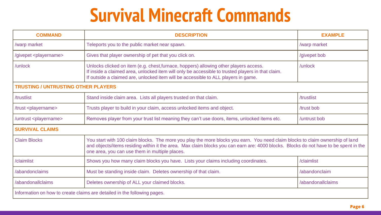## **Survival Minecraft Commands**

| <b>COMMAND</b>                                                           | <b>DESCRIPTION</b>                                                                                                                                                                                                                                                                                                      | <b>EXAMPLE</b>    |  |  |
|--------------------------------------------------------------------------|-------------------------------------------------------------------------------------------------------------------------------------------------------------------------------------------------------------------------------------------------------------------------------------------------------------------------|-------------------|--|--|
| /warp market                                                             | Teleports you to the public market near spawn.                                                                                                                                                                                                                                                                          | /warp market      |  |  |
| /givepet <playername></playername>                                       | Gives that player ownership of pet that you click on.                                                                                                                                                                                                                                                                   | /givepet bob      |  |  |
| /unlock                                                                  | Unlocks clicked on item (e.g. chest, furnace, hoppers) allowing other players access.<br>If inside a claimed area, unlocked item will only be accessible to trusted players in that claim.<br>If outside a claimed are, unlocked item will be accessible to ALL players in game.                                        | /unlock           |  |  |
| <b>TRUSTING / UNTRUSTING OTHER PLAYERS</b>                               |                                                                                                                                                                                                                                                                                                                         |                   |  |  |
| /trustlist                                                               | Stand inside claim area. Lists all players trusted on that claim.                                                                                                                                                                                                                                                       | /trustlist        |  |  |
| /trust <playername></playername>                                         | Trusts player to build in your claim, access unlocked items and object.                                                                                                                                                                                                                                                 | /trust bob        |  |  |
| /untrust <playername></playername>                                       | Removes player from your trust list meaning they can't use doors, items, unlocked items etc.                                                                                                                                                                                                                            | /untrust bob      |  |  |
| <b>SURVIVAL CLAIMS</b>                                                   |                                                                                                                                                                                                                                                                                                                         |                   |  |  |
| <b>Claim Blocks</b>                                                      | You start with 100 claim blocks. The more you play the more blocks you earn. You need claim blocks to claim ownership of land<br>and objects/items residing within it the area. Max claim blocks you can earn are: 4000 blocks. Blocks do not have to be spent in the<br>one area, you can use them in multiple places. |                   |  |  |
| /claimlist                                                               | Shows you how many claim blocks you have. Lists your claims including coordinates.                                                                                                                                                                                                                                      | /claimlist        |  |  |
| /abandonclaims                                                           | Must be standing inside claim. Deletes ownership of that claim.                                                                                                                                                                                                                                                         | /abandonclaim     |  |  |
| /abandonallclaims                                                        | Deletes ownership of ALL your claimed blocks.                                                                                                                                                                                                                                                                           | /abandonallclaims |  |  |
| Information on how to create claims are detailed in the following pages. |                                                                                                                                                                                                                                                                                                                         |                   |  |  |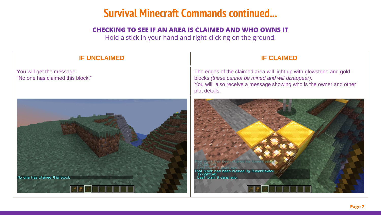#### **Survival Minecraft Commands continued...**

#### **CHECKING TO SEE IF AN AREA IS CLAIMED AND WHO OWNS IT**

Hold a stick in your hand and right-clicking on the ground.

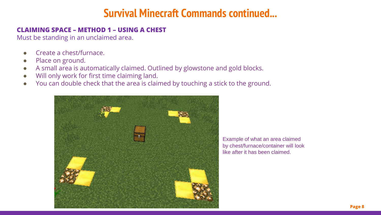#### **Survival Minecraft Commands continued...**

#### **CLAIMING SPACE – METHOD 1 – USING A CHEST**

Must be standing in an unclaimed area.

- Create a chest/furnace.
- Place on ground.
- A small area is automatically claimed. Outlined by glowstone and gold blocks.
- Will only work for first time claiming land.
- You can double check that the area is claimed by touching a stick to the ground.



Example of what an area claimed by chest/furnace/container will look like after it has been claimed.